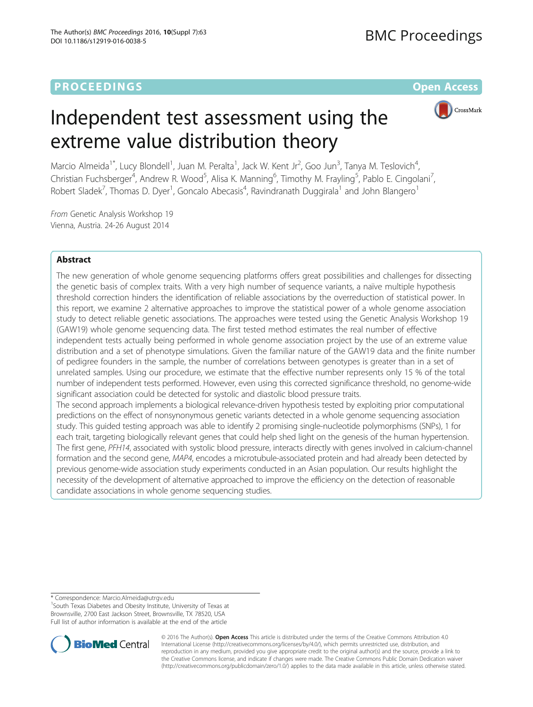## **PROCEEDINGS STATE ACCESS CONSUMING SECTION CONSUMING SECTION CONSUMING SECTION CONSUMING SECTION CONSUMING SECTION CONSUMING SECTION CONSUMING SECTION CONSUMING SECTION CONSUMING SECTION CONSUMING SECTION CONSUMING SE**



# Independent test assessment using the extreme value distribution theory

Marcio Almeida<sup>1\*</sup>, Lucy Blondell<sup>1</sup>, Juan M. Peralta<sup>1</sup>, Jack W. Kent Jr<sup>2</sup>, Goo Jun<sup>3</sup>, Tanya M. Teslovich<sup>4</sup> , Christian Fuchsberger<sup>4</sup>, Andrew R. Wood<sup>5</sup>, Alisa K. Manning<sup>6</sup>, Timothy M. Frayling<sup>5</sup>, Pablo E. Cingolani<sup>7</sup> , Robert Sladek<sup>7</sup>, Thomas D. Dyer<sup>1</sup>, Goncalo Abecasis<sup>4</sup>, Ravindranath Duggirala<sup>1</sup> and John Blangero<sup>1</sup>

From Genetic Analysis Workshop 19 Vienna, Austria. 24-26 August 2014

### Abstract

The new generation of whole genome sequencing platforms offers great possibilities and challenges for dissecting the genetic basis of complex traits. With a very high number of sequence variants, a naïve multiple hypothesis threshold correction hinders the identification of reliable associations by the overreduction of statistical power. In this report, we examine 2 alternative approaches to improve the statistical power of a whole genome association study to detect reliable genetic associations. The approaches were tested using the Genetic Analysis Workshop 19 (GAW19) whole genome sequencing data. The first tested method estimates the real number of effective independent tests actually being performed in whole genome association project by the use of an extreme value distribution and a set of phenotype simulations. Given the familiar nature of the GAW19 data and the finite number of pedigree founders in the sample, the number of correlations between genotypes is greater than in a set of unrelated samples. Using our procedure, we estimate that the effective number represents only 15 % of the total number of independent tests performed. However, even using this corrected significance threshold, no genome-wide significant association could be detected for systolic and diastolic blood pressure traits.

The second approach implements a biological relevance-driven hypothesis tested by exploiting prior computational predictions on the effect of nonsynonymous genetic variants detected in a whole genome sequencing association study. This guided testing approach was able to identify 2 promising single-nucleotide polymorphisms (SNPs), 1 for each trait, targeting biologically relevant genes that could help shed light on the genesis of the human hypertension. The first gene, PFH14, associated with systolic blood pressure, interacts directly with genes involved in calcium-channel formation and the second gene, MAP4, encodes a microtubule-associated protein and had already been detected by previous genome-wide association study experiments conducted in an Asian population. Our results highlight the necessity of the development of alternative approached to improve the efficiency on the detection of reasonable candidate associations in whole genome sequencing studies.

<sup>1</sup>South Texas Diabetes and Obesity Institute, University of Texas at Brownsville, 2700 East Jackson Street, Brownsville, TX 78520, USA Full list of author information is available at the end of the article



© 2016 The Author(s). Open Access This article is distributed under the terms of the Creative Commons Attribution 4.0 International License [\(http://creativecommons.org/licenses/by/4.0/](http://creativecommons.org/licenses/by/4.0/)), which permits unrestricted use, distribution, and reproduction in any medium, provided you give appropriate credit to the original author(s) and the source, provide a link to the Creative Commons license, and indicate if changes were made. The Creative Commons Public Domain Dedication waiver [\(http://creativecommons.org/publicdomain/zero/1.0/](http://creativecommons.org/publicdomain/zero/1.0/)) applies to the data made available in this article, unless otherwise stated.

<sup>\*</sup> Correspondence: [Marcio.Almeida@utrgv.edu](mailto:Marcio.Almeida@utrgv.edu) <sup>1</sup>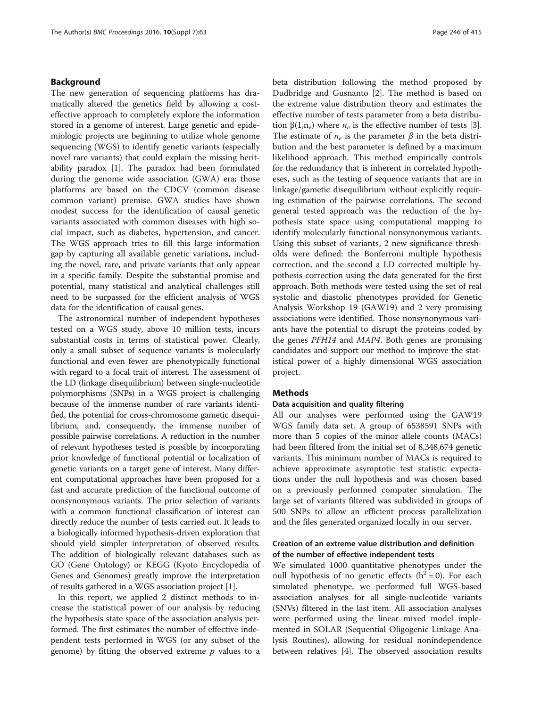#### Background

The new generation of sequencing platforms has dramatically altered the genetics field by allowing a costeffective approach to completely explore the information stored in a genome of interest. Large genetic and epidemiologic projects are beginning to utilize whole genome sequencing (WGS) to identify genetic variants (especially novel rare variants) that could explain the missing heritability paradox [\[1](#page-4-0)]. The paradox had been formulated during the genome wide association (GWA) era; those platforms are based on the CDCV (common disease common variant) premise. GWA studies have shown modest success for the identification of causal genetic variants associated with common diseases with high social impact, such as diabetes, hypertension, and cancer. The WGS approach tries to fill this large information gap by capturing all available genetic variations, including the novel, rare, and private variants that only appear in a specific family. Despite the substantial promise and potential, many statistical and analytical challenges still need to be surpassed for the efficient analysis of WGS data for the identification of causal genes.

The astronomical number of independent hypotheses tested on a WGS study, above 10 million tests, incurs substantial costs in terms of statistical power. Clearly, only a small subset of sequence variants is molecularly functional and even fewer are phenotypically functional with regard to a focal trait of interest. The assessment of the LD (linkage disequilibrium) between single-nucleotide polymorphisms (SNPs) in a WGS project is challenging because of the immense number of rare variants identified, the potential for cross-chromosome gametic disequilibrium, and, consequently, the immense number of possible pairwise correlations. A reduction in the number of relevant hypotheses tested is possible by incorporating prior knowledge of functional potential or localization of genetic variants on a target gene of interest. Many different computational approaches have been proposed for a fast and accurate prediction of the functional outcome of nonsynonymous variants. The prior selection of variants with a common functional classification of interest can directly reduce the number of tests carried out. It leads to a biologically informed hypothesis-driven exploration that should yield simpler interpretation of observed results. The addition of biologically relevant databases such as GO (Gene Ontology) or KEGG (Kyoto Encyclopedia of Genes and Genomes) greatly improve the interpretation of results gathered in a WGS association project [\[1](#page-4-0)].

In this report, we applied 2 distinct methods to increase the statistical power of our analysis by reducing the hypothesis state space of the association analysis performed. The first estimates the number of effective independent tests performed in WGS (or any subset of the genome) by fitting the observed extreme  $p$  values to a beta distribution following the method proposed by Dudbridge and Gusnanto [\[2](#page-4-0)]. The method is based on the extreme value distribution theory and estimates the effective number of tests parameter from a beta distribution  $β(1, n_e)$  where  $n_e$  is the effective number of tests [\[3](#page-4-0)]. The estimate of  $n_e$  is the parameter  $\beta$  in the beta distribution and the best parameter is defined by a maximum likelihood approach. This method empirically controls for the redundancy that is inherent in correlated hypotheses, such as the testing of sequence variants that are in linkage/gametic disequilibrium without explicitly requiring estimation of the pairwise correlations. The second general tested approach was the reduction of the hypothesis state space using computational mapping to identify molecularly functional nonsynonymous variants. Using this subset of variants, 2 new significance thresholds were defined: the Bonferroni multiple hypothesis correction, and the second a LD corrected multiple hypothesis correction using the data generated for the first approach. Both methods were tested using the set of real systolic and diastolic phenotypes provided for Genetic Analysis Workshop 19 (GAW19) and 2 very promising associations were identified. Those nonsynonymous variants have the potential to disrupt the proteins coded by the genes PFH14 and MAP4. Both genes are promising candidates and support our method to improve the statistical power of a highly dimensional WGS association project.

#### Methods

#### Data acquisition and quality filtering

All our analyses were performed using the GAW19 WGS family data set. A group of 6538591 SNPs with more than 5 copies of the minor allele counts (MACs) had been filtered from the initial set of 8,348,674 genetic variants. This minimum number of MACs is required to achieve approximate asymptotic test statistic expectations under the null hypothesis and was chosen based on a previously performed computer simulation. The large set of variants filtered was subdivided in groups of 500 SNPs to allow an efficient process parallelization and the files generated organized locally in our server.

#### Creation of an extreme value distribution and definition of the number of effective independent tests

We simulated 1000 quantitative phenotypes under the null hypothesis of no genetic effects  $(h^2 = 0)$ . For each simulated phenotype, we performed full WGS-based association analyses for all single-nucleotide variants (SNVs) filtered in the last item. All association analyses were performed using the linear mixed model implemented in SOLAR (Sequential Oligogenic Linkage Analysis Routines), allowing for residual nonindependence between relatives [[4\]](#page-4-0). The observed association results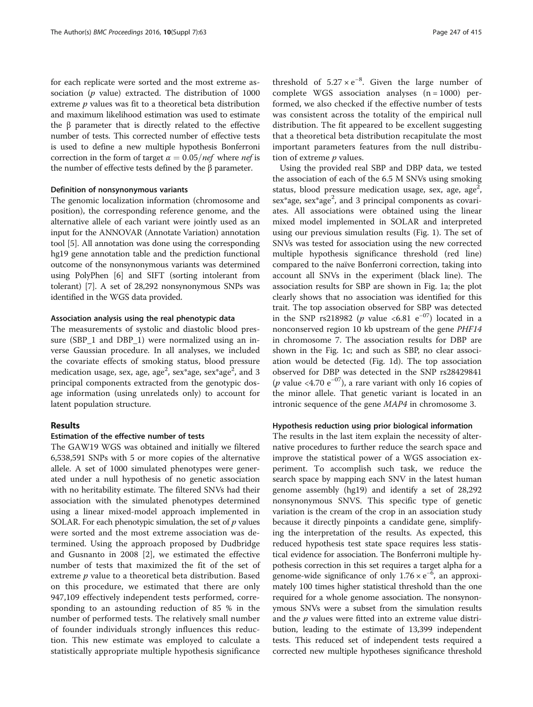for each replicate were sorted and the most extreme association ( $p$  value) extracted. The distribution of 1000 extreme *p* values was fit to a theoretical beta distribution and maximum likelihood estimation was used to estimate the β parameter that is directly related to the effective number of tests. This corrected number of effective tests is used to define a new multiple hypothesis Bonferroni correction in the form of target  $\alpha = 0.05/net$  where nef is the number of effective tests defined by the β parameter.

#### Definition of nonsynonymous variants

The genomic localization information (chromosome and position), the corresponding reference genome, and the alternative allele of each variant were jointly used as an input for the ANNOVAR (Annotate Variation) annotation tool [\[5](#page-4-0)]. All annotation was done using the corresponding hg19 gene annotation table and the prediction functional outcome of the nonsynonymous variants was determined using PolyPhen [\[6](#page-4-0)] and SIFT (sorting intolerant from tolerant) [\[7](#page-4-0)]. A set of 28,292 nonsynonymous SNPs was identified in the WGS data provided.

#### Association analysis using the real phenotypic data

The measurements of systolic and diastolic blood pressure (SBP\_1 and DBP\_1) were normalized using an inverse Gaussian procedure. In all analyses, we included the covariate effects of smoking status, blood pressure medication usage, sex, age, age $^2$ , sex\*age, sex\*age $^2$ , and 3 principal components extracted from the genotypic dosage information (using unrelateds only) to account for latent population structure.

#### Results

#### Estimation of the effective number of tests

The GAW19 WGS was obtained and initially we filtered 6,538,591 SNPs with 5 or more copies of the alternative allele. A set of 1000 simulated phenotypes were generated under a null hypothesis of no genetic association with no heritability estimate. The filtered SNVs had their association with the simulated phenotypes determined using a linear mixed-model approach implemented in SOLAR. For each phenotypic simulation, the set of  $p$  values were sorted and the most extreme association was determined. Using the approach proposed by Dudbridge and Gusnanto in 2008 [[2\]](#page-4-0), we estimated the effective number of tests that maximized the fit of the set of extreme *p* value to a theoretical beta distribution. Based on this procedure, we estimated that there are only 947,109 effectively independent tests performed, corresponding to an astounding reduction of 85 % in the number of performed tests. The relatively small number of founder individuals strongly influences this reduction. This new estimate was employed to calculate a statistically appropriate multiple hypothesis significance

threshold of  $5.27 \times e^{-8}$ . Given the large number of complete WGS association analyses  $(n = 1000)$  performed, we also checked if the effective number of tests was consistent across the totality of the empirical null distribution. The fit appeared to be excellent suggesting that a theoretical beta distribution recapitulate the most important parameters features from the null distribution of extreme *p* values.

Using the provided real SBP and DBP data, we tested the association of each of the 6.5 M SNVs using smoking status, blood pressure medication usage, sex, age, age<sup>2</sup>, sex\*age, sex\*age<sup>2</sup>, and 3 principal components as covariates. All associations were obtained using the linear mixed model implemented in SOLAR and interpreted using our previous simulation results (Fig. [1\)](#page-3-0). The set of SNVs was tested for association using the new corrected multiple hypothesis significance threshold (red line) compared to the naïve Bonferroni correction, taking into account all SNVs in the experiment (black line). The association results for SBP are shown in Fig. [1a;](#page-3-0) the plot clearly shows that no association was identified for this trait. The top association observed for SBP was detected in the SNP rs218982 (p value <6.81 e<sup>-07</sup>) located in a nonconserved region 10 kb upstream of the gene PHF14 in chromosome 7. The association results for DBP are shown in the Fig. [1c;](#page-3-0) and such as SBP, no clear association would be detected (Fig. [1d](#page-3-0)). The top association observed for DBP was detected in the SNP rs28429841 (*p* value <4.70 e<sup>-07</sup>), a rare variant with only 16 copies of the minor allele. That genetic variant is located in an intronic sequence of the gene MAP4 in chromosome 3.

#### Hypothesis reduction using prior biological information

The results in the last item explain the necessity of alternative procedures to further reduce the search space and improve the statistical power of a WGS association experiment. To accomplish such task, we reduce the search space by mapping each SNV in the latest human genome assembly (hg19) and identify a set of 28,292 nonsynonymous SNVS. This specific type of genetic variation is the cream of the crop in an association study because it directly pinpoints a candidate gene, simplifying the interpretation of the results. As expected, this reduced hypothesis test state space requires less statistical evidence for association. The Bonferroni multiple hypothesis correction in this set requires a target alpha for a genome-wide significance of only  $1.76 \times e^{-6}$ , an approximately 100 times higher statistical threshold than the one required for a whole genome association. The nonsynonymous SNVs were a subset from the simulation results and the  $p$  values were fitted into an extreme value distribution, leading to the estimate of 13,399 independent tests. This reduced set of independent tests required a corrected new multiple hypotheses significance threshold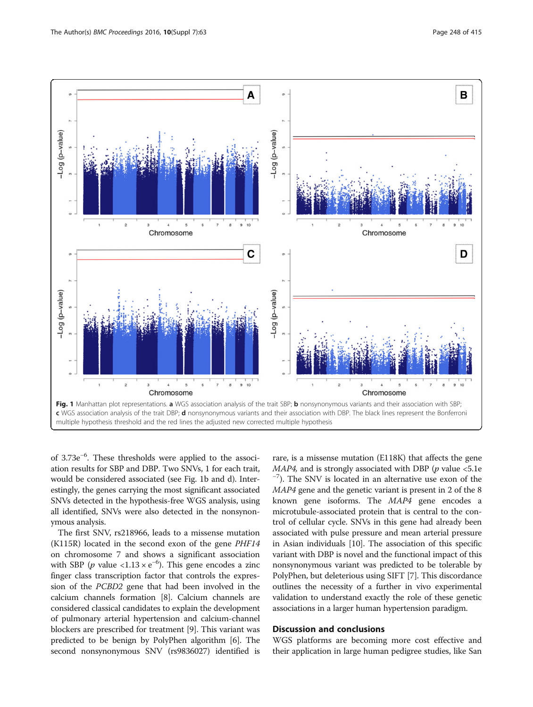<span id="page-3-0"></span>

of 3.73e−<sup>6</sup> . These thresholds were applied to the association results for SBP and DBP. Two SNVs, 1 for each trait, would be considered associated (see Fig. 1b and d). Interestingly, the genes carrying the most significant associated SNVs detected in the hypothesis-free WGS analysis, using all identified, SNVs were also detected in the nonsynonymous analysis.

The first SNV, rs218966, leads to a missense mutation (K115R) located in the second exon of the gene PHF14 on chromosome 7 and shows a significant association with SBP (*p* value <1.13 ×  $e^{-6}$ ). This gene encodes a zinc finger class transcription factor that controls the expression of the PCBD2 gene that had been involved in the calcium channels formation [[8\]](#page-4-0). Calcium channels are considered classical candidates to explain the development of pulmonary arterial hypertension and calcium-channel blockers are prescribed for treatment [[9\]](#page-4-0). This variant was predicted to be benign by PolyPhen algorithm [\[6\]](#page-4-0). The second nonsynonymous SNV (rs9836027) identified is

rare, is a missense mutation (E118K) that affects the gene MAP4, and is strongly associated with DBP ( $p$  value <5.1e  $^{-7}$ ). The SNV is located in an alternative use exon of the MAP4 gene and the genetic variant is present in 2 of the 8 known gene isoforms. The MAP4 gene encodes a microtubule-associated protein that is central to the control of cellular cycle. SNVs in this gene had already been associated with pulse pressure and mean arterial pressure in Asian individuals [\[10\]](#page-4-0). The association of this specific variant with DBP is novel and the functional impact of this nonsynonymous variant was predicted to be tolerable by PolyPhen, but deleterious using SIFT [\[7](#page-4-0)]. This discordance outlines the necessity of a further in vivo experimental validation to understand exactly the role of these genetic associations in a larger human hypertension paradigm.

#### Discussion and conclusions

WGS platforms are becoming more cost effective and their application in large human pedigree studies, like San